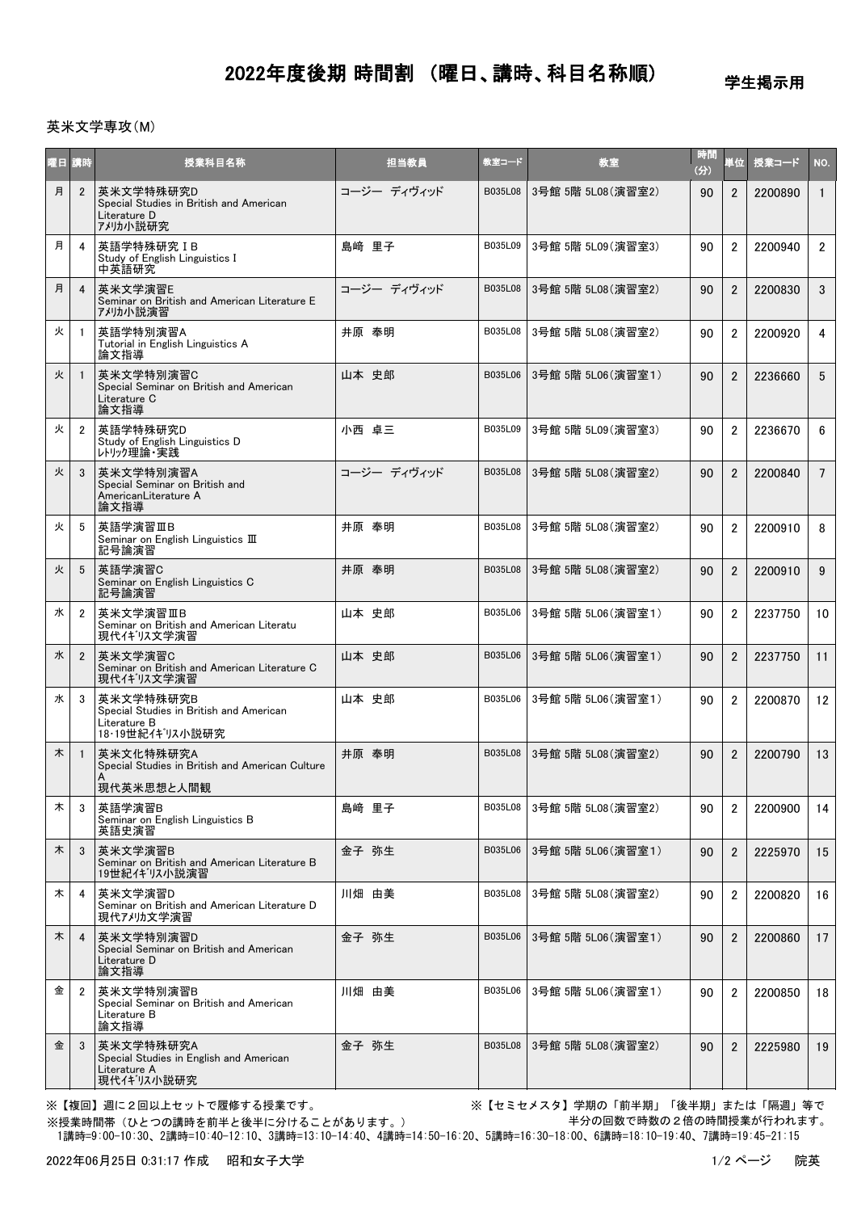## 2022年度後期 時間割 (曜日、講時、科目名称順)

学生掲示用

## 英米文学専攻(M)

| 曜日 | 請時             | 授業科目名称                                                                                  | 担当教員        | 教室コード   | 教室                 | 時間<br>(分) | 単位             | 授業コード   | NO.             |
|----|----------------|-----------------------------------------------------------------------------------------|-------------|---------|--------------------|-----------|----------------|---------|-----------------|
| 月  | $\overline{2}$ | 英米文学特殊研究D<br>Special Studies in British and American<br>Literature D<br>ア刈か小説研究         | コージー ディヴィッド | B035L08 | 3号館 5階 5L08 (演習室2) | 90        | $\overline{2}$ | 2200890 | $\mathbf{1}$    |
| 月  | 4              | 英語学特殊研究 IB<br>Study of English Linguistics I<br>中英語研究                                   | 島﨑 里子       | B035L09 | 3号館 5階 5L09 (演習室3) | 90        | $\overline{2}$ | 2200940 | $\overline{2}$  |
| 月  | $\overline{4}$ | 英米文学演習E<br>Seminar on British and American Literature E<br>アメリカ小説演習                     | コージー ディヴィッド | B035L08 | 3号館 5階 5L08 (演習室2) | 90        | $\overline{2}$ | 2200830 | 3               |
| 火  | -1             | 英語学特別演習A<br>Tutorial in English Linguistics A<br>論文指導                                   | 井原 奉明       | B035L08 | 3号館 5階 5L08 (演習室2) | 90        | $\overline{2}$ | 2200920 | 4               |
| 火  |                | 英米文学特別演習C<br>Special Seminar on British and American<br>Literature C<br>論文指導            | 山本 史郎       | B035L06 | 3号館 5階 5L06 (演習室1) | 90        | $\overline{2}$ | 2236660 | 5               |
| 火  | $\overline{2}$ | 英語学特殊研究D<br>Study of English Linguistics D<br>レトリック理論・実践                                | 小西 卓三       | B035L09 | 3号館 5階 5L09 (演習室3) | 90        | $\overline{2}$ | 2236670 | 6               |
| 火  | 3              | 英米文学特別演習A<br>Special Seminar on British and<br>AmericanLiterature A<br>論文指導             | コージー ディヴィッド | B035L08 | 3号館 5階 5L08 (演習室2) | 90        | $\overline{2}$ | 2200840 | $7\overline{ }$ |
| 火  | 5              | 英語学演習ⅢB<br>Seminar on English Linguistics III<br>記号論演習                                  | 井原 奉明       | B035L08 | 3号館 5階 5L08 (演習室2) | 90        | $\overline{2}$ | 2200910 | 8               |
| 火  | 5              | 英語学演習C<br>Seminar on English Linguistics C<br>記号論演習                                     | 井原 奉明       | B035L08 | 3号館 5階 5L08 (演習室2) | 90        | $\overline{2}$ | 2200910 | 9               |
| 水  | $\overline{2}$ | 英米文学演習ⅢB<br>Seminar on British and American Literatu<br>現代イギリス文学演習                      | 山本 史郎       | B035L06 | 3号館 5階 5L06 (演習室1) | 90        | $\overline{2}$ | 2237750 | 10              |
| 水  | $\overline{2}$ | 英米文学演習C<br>Seminar on British and American Literature C<br>現代イギリス文学演習                   | 山本 史郎       | B035L06 | 3号館 5階 5L06 (演習室1) | 90        | $\overline{2}$ | 2237750 | 11              |
| 水  | 3              | 英米文学特殊研究B<br>Special Studies in British and American<br>Literature B<br>18・19世紀イギリス小説研究 | 山本 史郎       | B035L06 | 3号館 5階 5L06 (演習室1) | 90        | $\overline{2}$ | 2200870 | 12              |
| 木  | -1             | 英米文化特殊研究A<br>Special Studies in British and American Culture<br>現代英米思想と人間観              | 井原 奉明       | B035L08 | 3号館 5階 5L08 (演習室2) | 90        | $\overline{2}$ | 2200790 | 13              |
| 木  | 3              | 英語学演習B<br>Seminar on English Linguistics B<br>英語史演習                                     | 島﨑 里子       | B035L08 | 3号館 5階 5L08(演習室2)  | 90        | 2              | 2200900 | 14              |
| 木  | 3              | 英米文学演習B<br>Seminar on British and American Literature B<br>19世紀イギリス小説演習                 | 金子 弥生       | B035L06 | 3号館 5階 5L06 (演習室1) | 90        | $\overline{2}$ | 2225970 | 15              |
| 木  | 4              | 英米文学演習D<br>Seminar on British and American Literature D<br>現代アメリカ文学演習                   | 川畑 由美       | B035L08 | 3号館 5階 5L08 (演習室2) | 90        | $\overline{2}$ | 2200820 | 16              |
| 木  | $\overline{4}$ | 英米文学特別演習D<br>Special Seminar on British and American<br>Literature D<br>論文指導            | 金子 弥生       | B035L06 | 3号館 5階 5L06(演習室1)  | 90        | $\overline{2}$ | 2200860 | 17              |
| 金  | $\overline{2}$ | 英米文学特別演習B<br>Special Seminar on British and American<br>Literature B<br>論文指導            | 川畑 由美       | B035L06 | 3号館 5階 5L06 (演習室1) | 90        | $\overline{2}$ | 2200850 | 18              |
| 金  | 3              | 英米文学特殊研究A<br>Special Studies in English and American<br>Literature A<br>現代イギリス小説研究      | 金子 弥生       | B035L08 | 3号館 5階 5L08(演習室2)  | 90        | $\overline{2}$ | 2225980 | 19              |

※授業時間帯(ひとつの講時を前半と後半に分けることがあります。)

※【複回】週に2回以上セットで履修する授業です。 ※【セミセメスタ】学期の「前半期」「後半期」または「隔週」等で 半分の回数で時数の2倍の時間授業が行われます。

1講時=9:00-10:30、2講時=10:40-12:10、3講時=13:10-14:40、4講時=14:50-16:20、5講時=16:30-18:00、6講時=18:10-19:40、7講時=19:45-21:15